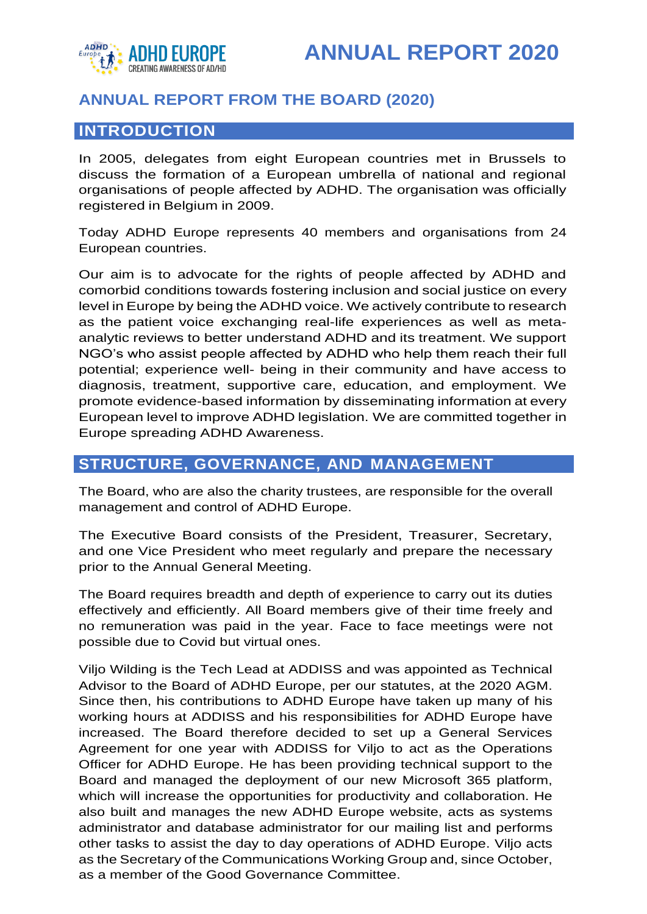

## **ANNUAL REPORT FROM THE BOARD (2020)**

## **INTRODUCTION**

In 2005, delegates from eight European countries met in Brussels to discuss the formation of a European umbrella of national and regional organisations of people affected by ADHD. The organisation was officially registered in Belgium in 2009.

Today ADHD Europe represents 40 members and organisations from 24 European countries.

Our aim is to advocate for the rights of people affected by ADHD and comorbid conditions towards fostering inclusion and social justice on every level in Europe by being the ADHD voice. We actively contribute to research as the patient voice exchanging real-life experiences as well as metaanalytic reviews to better understand ADHD and its treatment. We support NGO's who assist people affected by ADHD who help them reach their full potential; experience well- being in their community and have access to diagnosis, treatment, supportive care, education, and employment. We promote evidence-based information by disseminating information at every European level to improve ADHD legislation. We are committed together in Europe spreading ADHD Awareness.

## **STRUCTURE, GOVERNANCE, AND MANAGEMENT**

The Board, who are also the charity trustees, are responsible for the overall management and control of ADHD Europe.

The Executive Board consists of the President, Treasurer, Secretary, and one Vice President who meet regularly and prepare the necessary prior to the Annual General Meeting.

The Board requires breadth and depth of experience to carry out its duties effectively and efficiently. All Board members give of their time freely and no remuneration was paid in the year. Face to face meetings were not possible due to Covid but virtual ones.

Viljo Wilding is the Tech Lead at ADDISS and was appointed as Technical Advisor to the Board of ADHD Europe, per our statutes, at the 2020 AGM. Since then, his contributions to ADHD Europe have taken up many of his working hours at ADDISS and his responsibilities for ADHD Europe have increased. The Board therefore decided to set up a General Services Agreement for one year with ADDISS for Viljo to act as the Operations Officer for ADHD Europe. He has been providing technical support to the Board and managed the deployment of our new Microsoft 365 platform, which will increase the opportunities for productivity and collaboration. He also built and manages the new ADHD Europe website, acts as systems administrator and database administrator for our mailing list and performs other tasks to assist the day to day operations of ADHD Europe. Viljo acts as the Secretary of the Communications Working Group and, since October, as a member of the Good Governance Committee.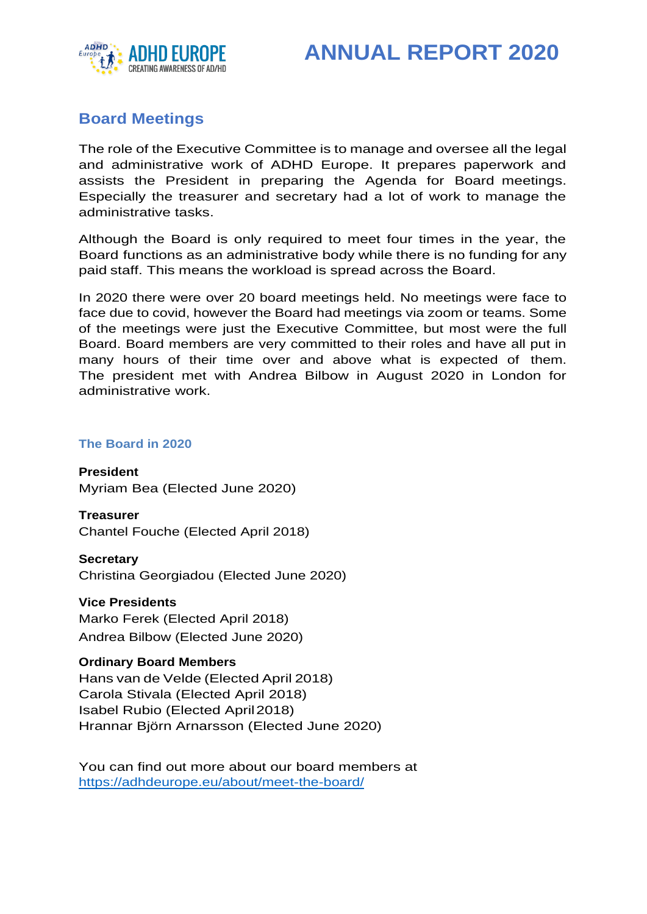

# **Board Meetings**

The role of the Executive Committee is to manage and oversee all the legal and administrative work of ADHD Europe. It prepares paperwork and assists the President in preparing the Agenda for Board meetings. Especially the treasurer and secretary had a lot of work to manage the administrative tasks.

Although the Board is only required to meet four times in the year, the Board functions as an administrative body while there is no funding for any paid staff. This means the workload is spread across the Board.

In 2020 there were over 20 board meetings held. No meetings were face to face due to covid, however the Board had meetings via zoom or teams. Some of the meetings were just the Executive Committee, but most were the full Board. Board members are very committed to their roles and have all put in many hours of their time over and above what is expected of them. The president met with Andrea Bilbow in August 2020 in London for administrative work.

### **The Board in 2020**

**President** Myriam Bea (Elected June 2020)

**Treasurer** Chantel Fouche (Elected April 2018)

**Secretary** Christina Georgiadou (Elected June 2020)

**Vice Presidents** Marko Ferek (Elected April 2018) Andrea Bilbow (Elected June 2020)

### **Ordinary Board Members**

Hans van de Velde (Elected April 2018) Carola Stivala (Elected April 2018) Isabel Rubio (Elected April2018) Hrannar Björn Arnarsson (Elected June 2020)

You can find out more about our board members at https://adhdeurope.eu/about/meet-the-board/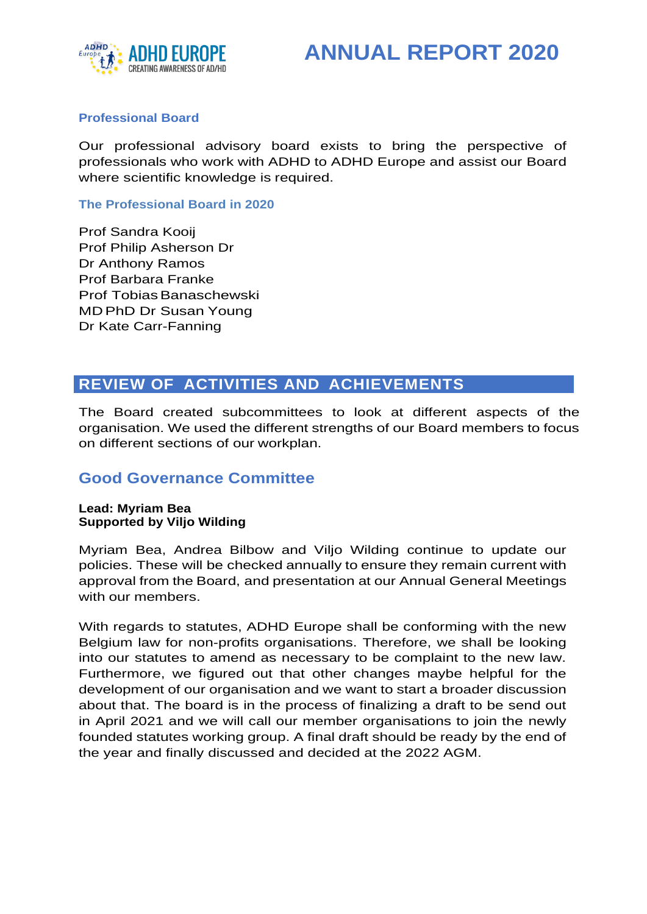



### **Professional Board**

Our professional advisory board exists to bring the perspective of professionals who work with ADHD to ADHD Europe and assist our Board where scientific knowledge is required.

**The Professional Board in 2020**

Prof Sandra Kooij Prof Philip Asherson Dr Dr Anthony Ramos Prof Barbara Franke Prof Tobias Banaschewski MDPhD Dr Susan Young Dr Kate Carr-Fanning

# **REVIEW OF ACTIVITIES AND ACHIEVEMENTS**

The Board created subcommittees to look at different aspects of the organisation. We used the different strengths of our Board members to focus on different sections of our workplan.

### **Good Governance Committee**

#### **Lead: Myriam Bea Supported by Viljo Wilding**

Myriam Bea, Andrea Bilbow and Viljo Wilding continue to update our policies. These will be checked annually to ensure they remain current with approval from the Board, and presentation at our Annual General Meetings with our members.

With regards to statutes, ADHD Europe shall be conforming with the new Belgium law for non-profits organisations. Therefore, we shall be looking into our statutes to amend as necessary to be complaint to the new law. Furthermore, we figured out that other changes maybe helpful for the development of our organisation and we want to start a broader discussion about that. The board is in the process of finalizing a draft to be send out in April 2021 and we will call our member organisations to join the newly founded statutes working group. A final draft should be ready by the end of the year and finally discussed and decided at the 2022 AGM.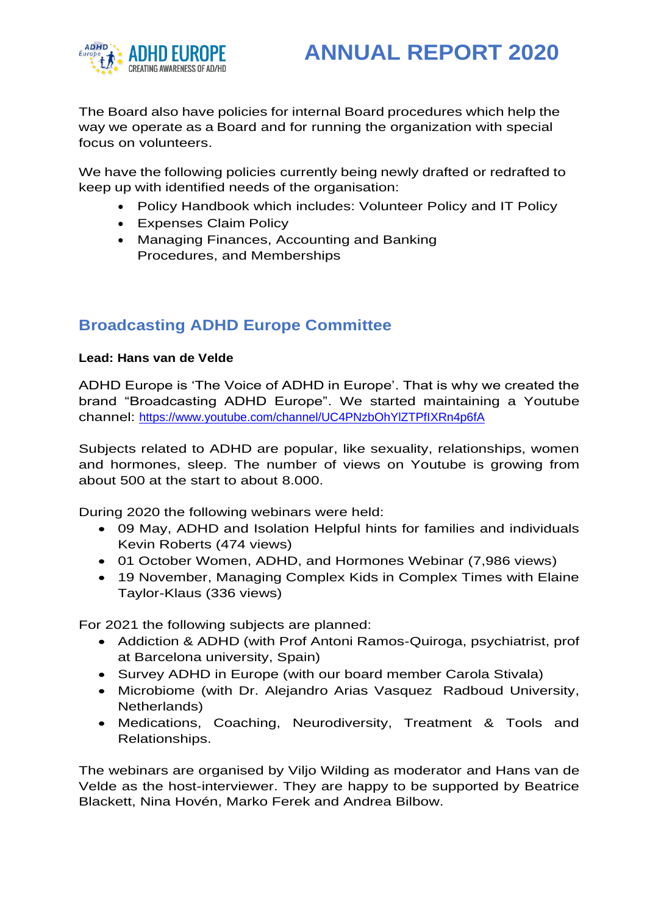

The Board also have policies for internal Board procedures which help the way we operate as a Board and for running the organization with special focus on volunteers.

We have the following policies currently being newly drafted or redrafted to keep up with identified needs of the organisation:

- Policy Handbook which includes: Volunteer Policy and IT Policy
- Expenses Claim Policy
- Managing Finances, Accounting and Banking Procedures, and Memberships

# **Broadcasting ADHD Europe Committee**

### **Lead: Hans van de Velde**

ADHD Europe is 'The Voice of ADHD in Europe'. That is why we created the brand "Broadcasting ADHD Europe". We started maintaining a Youtube channel:<https://www.youtube.com/channel/UC4PNzbOhYlZTPfIXRn4p6fA>

Subjects related to ADHD are popular, like sexuality, relationships, women and hormones, sleep. The number of views on Youtube is growing from about 500 at the start to about 8.000.

During 2020 the following webinars were held:

- 09 May, ADHD and Isolation Helpful hints for families and individuals Kevin Roberts (474 views)
- 01 October Women, ADHD, and Hormones Webinar (7,986 views)
- 19 November, Managing Complex Kids in Complex Times with Elaine Taylor-Klaus (336 views)

For 2021 the following subjects are planned:

- Addiction & ADHD (with Prof Antoni Ramos-Quiroga, psychiatrist, prof at Barcelona university, Spain)
- Survey ADHD in Europe (with our board member Carola Stivala)
- Microbiome (with Dr. Alejandro Arias Vasquez Radboud University, Netherlands)
- Medications, Coaching, Neurodiversity, Treatment & Tools and Relationships.

The webinars are organised by Viljo Wilding as moderator and Hans van de Velde as the host-interviewer. They are happy to be supported by Beatrice Blackett, Nina Hovén, Marko Ferek and Andrea Bilbow.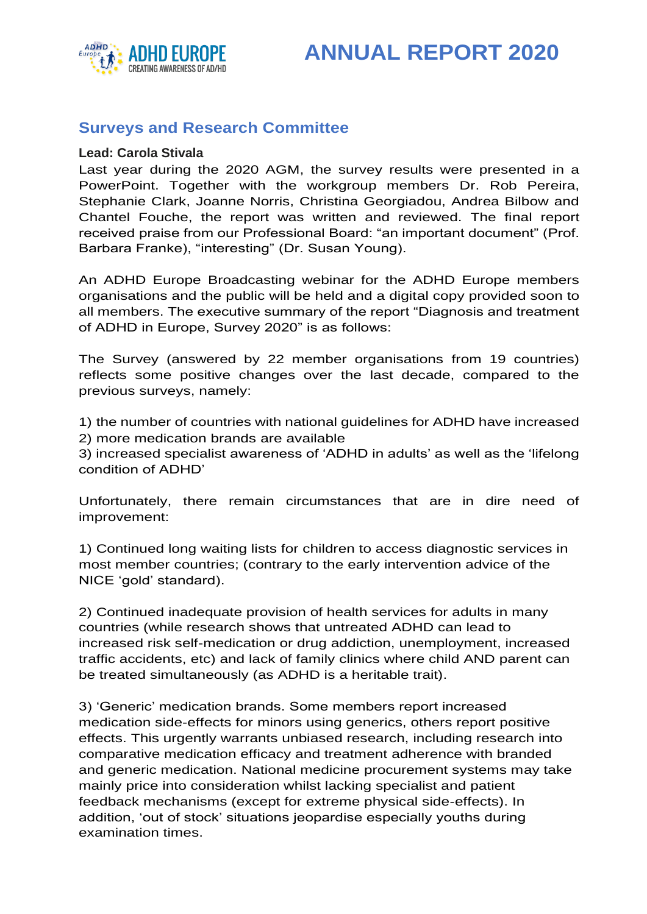



## **Surveys and Research Committee**

#### **Lead: Carola Stivala**

Last year during the 2020 AGM, the survey results were presented in a PowerPoint. Together with the workgroup members Dr. Rob Pereira, Stephanie Clark, Joanne Norris, Christina Georgiadou, Andrea Bilbow and Chantel Fouche, the report was written and reviewed. The final report received praise from our Professional Board: "an important document" (Prof. Barbara Franke), "interesting" (Dr. Susan Young).

An ADHD Europe Broadcasting webinar for the ADHD Europe members organisations and the public will be held and a digital copy provided soon to all members. The executive summary of the report "Diagnosis and treatment of ADHD in Europe, Survey 2020" is as follows:

The Survey (answered by 22 member organisations from 19 countries) reflects some positive changes over the last decade, compared to the previous surveys, namely:

1) the number of countries with national guidelines for ADHD have increased 2) more medication brands are available

3) increased specialist awareness of 'ADHD in adults' as well as the 'lifelong condition of ADHD'

Unfortunately, there remain circumstances that are in dire need of improvement:

1) Continued long waiting lists for children to access diagnostic services in most member countries; (contrary to the early intervention advice of the NICE 'gold' standard).

2) Continued inadequate provision of health services for adults in many countries (while research shows that untreated ADHD can lead to increased risk self-medication or drug addiction, unemployment, increased traffic accidents, etc) and lack of family clinics where child AND parent can be treated simultaneously (as ADHD is a heritable trait).

3) 'Generic' medication brands. Some members report increased medication side-effects for minors using generics, others report positive effects. This urgently warrants unbiased research, including research into comparative medication efficacy and treatment adherence with branded and generic medication. National medicine procurement systems may take mainly price into consideration whilst lacking specialist and patient feedback mechanisms (except for extreme physical side-effects). In addition, 'out of stock' situations jeopardise especially youths during examination times.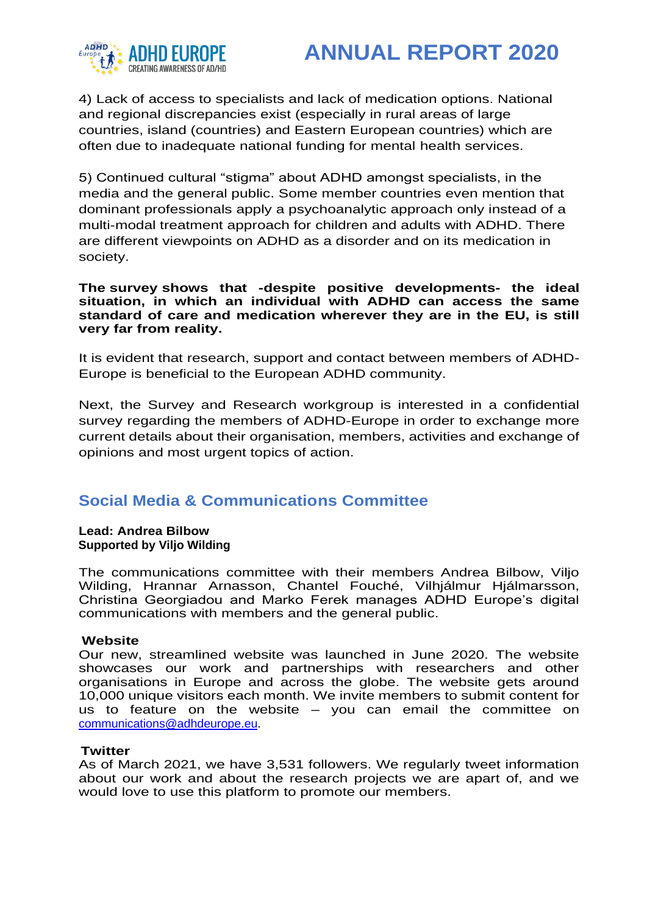



4) Lack of access to specialists and lack of medication options. National and regional discrepancies exist (especially in rural areas of large countries, island (countries) and Eastern European countries) which are often due to inadequate national funding for mental health services.

5) Continued cultural "stigma" about ADHD amongst specialists, in the media and the general public. Some member countries even mention that dominant professionals apply a psychoanalytic approach only instead of a multi-modal treatment approach for children and adults with ADHD. There are different viewpoints on ADHD as a disorder and on its medication in society.

**The survey shows that -despite positive developments- the ideal situation, in which an individual with ADHD can access the same standard of care and medication wherever they are in the EU, is still very far from reality.** 

It is evident that research, support and contact between members of ADHD-Europe is beneficial to the European ADHD community.

Next, the Survey and Research workgroup is interested in a confidential survey regarding the members of ADHD-Europe in order to exchange more current details about their organisation, members, activities and exchange of opinions and most urgent topics of action.

## **Social Media & Communications Committee**

**Lead: Andrea Bilbow Supported by Viljo Wilding**

The communications committee with their members Andrea Bilbow, Viljo Wilding, Hrannar Arnasson, Chantel Fouché, Vilhjálmur Hjálmarsson, Christina Georgiadou and Marko Ferek manages ADHD Europe's digital communications with members and the general public.

### **Website**

Our new, streamlined website was launched in June 2020. The website showcases our work and partnerships with researchers and other organisations in Europe and across the globe. The website gets around 10,000 unique visitors each month. We invite members to submit content for us to feature on the website – you can email the committee on [communications@adhdeurope.eu.](mailto:communications@adhdeurope.eu)

### **Twitter**

As of March 2021, we have 3,531 followers. We regularly tweet information about our work and about the research projects we are apart of, and we would love to use this platform to promote our members.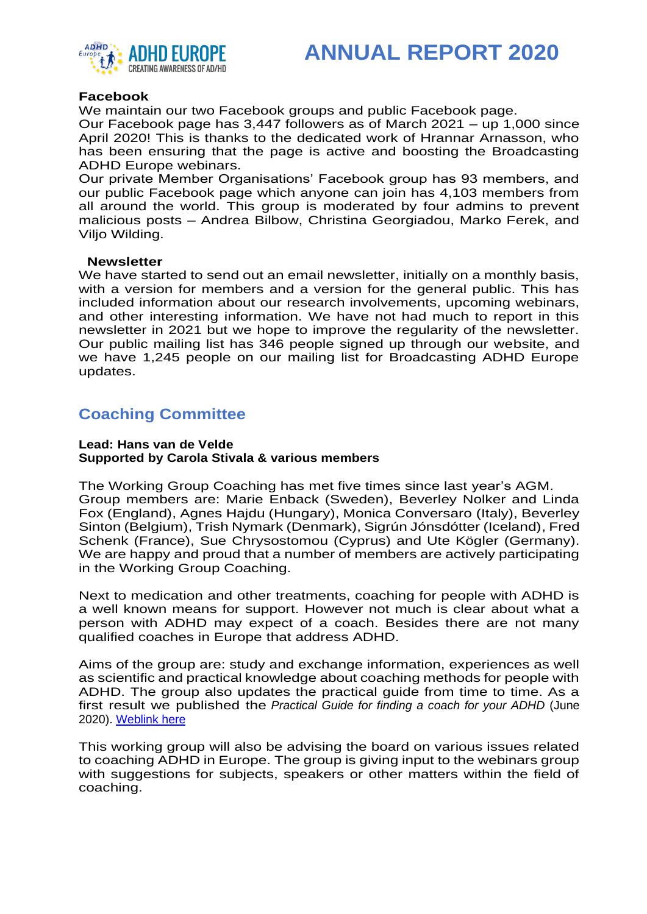

#### **Facebook**

We maintain our two Facebook groups and public Facebook page.

Our Facebook page has 3,447 followers as of March 2021 – up 1,000 since April 2020! This is thanks to the dedicated work of Hrannar Arnasson, who has been ensuring that the page is active and boosting the Broadcasting ADHD Europe webinars.

Our private Member Organisations' Facebook group has 93 members, and our public Facebook page which anyone can join has 4,103 members from all around the world. This group is moderated by four admins to prevent malicious posts – Andrea Bilbow, Christina Georgiadou, Marko Ferek, and Viljo Wilding.

#### **Newsletter**

We have started to send out an email newsletter, initially on a monthly basis, with a version for members and a version for the general public. This has included information about our research involvements, upcoming webinars, and other interesting information. We have not had much to report in this newsletter in 2021 but we hope to improve the regularity of the newsletter. Our public mailing list has 346 people signed up through our website, and we have 1,245 people on our mailing list for Broadcasting ADHD Europe updates.

## **Coaching Committee**

#### **Lead: Hans van de Velde Supported by Carola Stivala & various members**

The Working Group Coaching has met five times since last year's AGM. Group members are: Marie Enback (Sweden), Beverley Nolker and Linda Fox (England), Agnes Hajdu (Hungary), Monica Conversaro (Italy), Beverley Sinton (Belgium), Trish Nymark (Denmark), Sigrún Jónsdótter (Iceland), Fred Schenk (France), Sue Chrysostomou (Cyprus) and Ute Kögler (Germany). We are happy and proud that a number of members are actively participating in the Working Group Coaching.

Next to medication and other treatments, coaching for people with ADHD is a well known means for support. However not much is clear about what a person with ADHD may expect of a coach. Besides there are not many qualified coaches in Europe that address ADHD.

Aims of the group are: study and exchange information, experiences as well as scientific and practical knowledge about coaching methods for people with ADHD. The group also updates the practical guide from time to time. As a first result we published the *Practical Guide for finding a coach for your ADHD* (June 2020). [Weblink here](https://adhdeurope.eu/wp-content/uploads/2020/08/Practical-Guide-finding-coach-for-your-ADHD-v29June20-.pdf)

This working group will also be advising the board on various issues related to coaching ADHD in Europe. The group is giving input to the webinars group with suggestions for subjects, speakers or other matters within the field of coaching.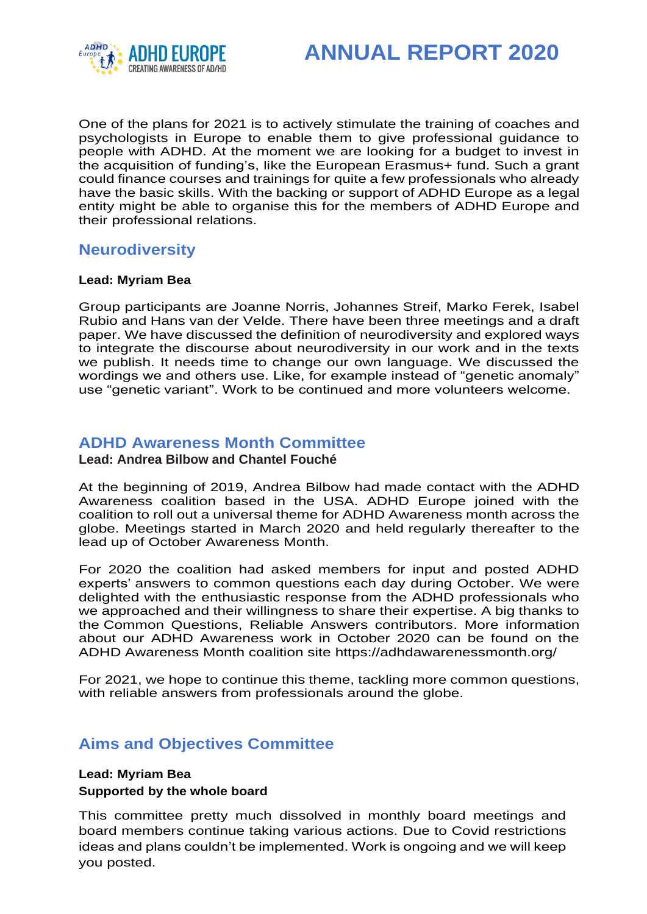

One of the plans for 2021 is to actively stimulate the training of coaches and psychologists in Europe to enable them to give professional guidance to people with ADHD. At the moment we are looking for a budget to invest in the acquisition of funding's, like the European Erasmus+ fund. Such a grant could finance courses and trainings for quite a few professionals who already have the basic skills. With the backing or support of ADHD Europe as a legal entity might be able to organise this for the members of ADHD Europe and their professional relations.

## **Neurodiversity**

### **Lead: Myriam Bea**

Group participants are Joanne Norris, Johannes Streif, Marko Ferek, Isabel Rubio and Hans van der Velde. There have been three meetings and a draft paper. We have discussed the definition of neurodiversity and explored ways to integrate the discourse about neurodiversity in our work and in the texts we publish. It needs time to change our own language. We discussed the wordings we and others use. Like, for example instead of "genetic anomaly" use "genetic variant". Work to be continued and more volunteers welcome.

### **ADHD Awareness Month Committee**

**Lead: Andrea Bilbow and Chantel Fouché**

At the beginning of 2019, Andrea Bilbow had made contact with the ADHD Awareness coalition based in the USA. ADHD Europe joined with the coalition to roll out a universal theme for ADHD Awareness month across the globe. Meetings started in March 2020 and held regularly thereafter to the lead up of October Awareness Month.

For 2020 the coalition had asked members for input and posted ADHD experts' [answers to common questions](https://adhdawarenessmonth.org/questions-and-answers/) each day during October. We were delighted with the enthusiastic response from the ADHD professionals who we approached and their willingness to share their expertise. A big thanks to the [Common Questions, Reliable Answers contributors.](https://adhdawarenessmonth.org/schedule/) More information about our ADHD Awareness work in October 2020 can be found on the ADHD Awareness Month coalition site <https://adhdawarenessmonth.org/>

For 2021, we hope to continue this theme, tackling more common questions, with reliable answers from professionals around the globe.

## **Aims and Objectives Committee**

### **Lead: Myriam Bea**

### **Supported by the whole board**

This committee pretty much dissolved in monthly board meetings and board members continue taking various actions. Due to Covid restrictions ideas and plans couldn't be implemented. Work is ongoing and we will keep you posted.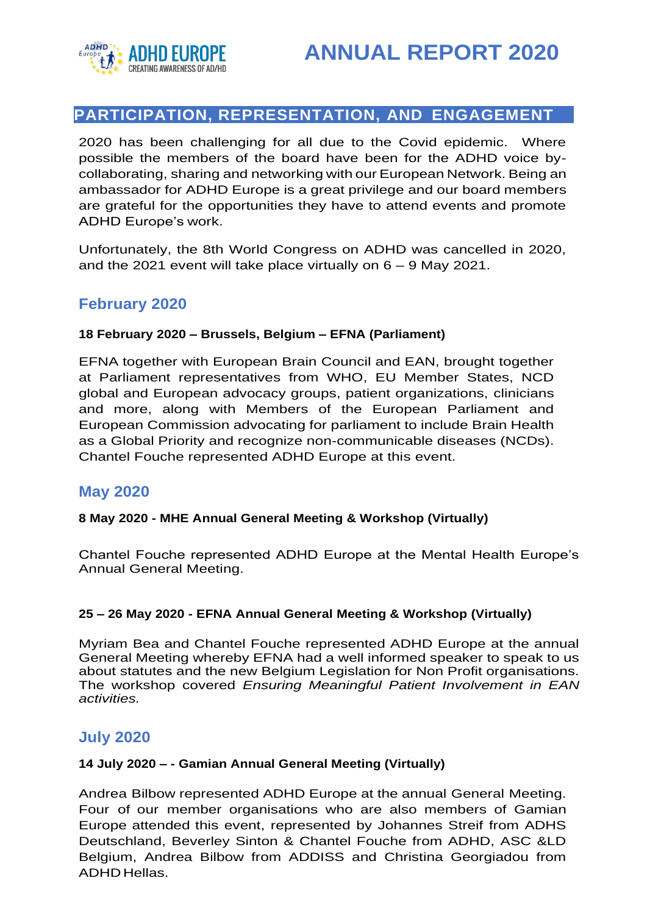

# **PARTICIPATION, REPRESENTATION, AND ENGAGEMENT**

2020 has been challenging for all due to the Covid epidemic. Where possible the members of the board have been for the ADHD voice bycollaborating, sharing and networking with our European Network. Being an ambassador for ADHD Europe is a great privilege and our board members are grateful for the opportunities they have to attend events and promote ADHD Europe's work.

Unfortunately, the 8th World Congress on ADHD was cancelled in 2020, and the 2021 event will take place virtually on 6 – 9 May 2021.

## **February 2020**

### **18 February 2020 – Brussels, Belgium – EFNA (Parliament)**

EFNA together with European Brain Council and EAN, brought together at Parliament representatives from WHO, EU Member States, NCD global and European advocacy groups, patient organizations, clinicians and more, along with Members of the European Parliament and European Commission advocating for parliament to include Brain Health as a Global Priority and recognize non-communicable diseases (NCDs). Chantel Fouche represented ADHD Europe at this event.

### **May 2020**

### **8 May 2020 - MHE Annual General Meeting & Workshop (Virtually)**

Chantel Fouche represented ADHD Europe at the Mental Health Europe's Annual General Meeting.

### **25 – 26 May 2020 - EFNA Annual General Meeting & Workshop (Virtually)**

Myriam Bea and Chantel Fouche represented ADHD Europe at the annual General Meeting whereby EFNA had a well informed speaker to speak to us about statutes and the new Belgium Legislation for Non Profit organisations. The workshop covered *Ensuring Meaningful Patient Involvement in EAN activities.*

### **July 2020**

### **14 July 2020 – - Gamian Annual General Meeting (Virtually)**

Andrea Bilbow represented ADHD Europe at the annual General Meeting. Four of our member organisations who are also members of Gamian Europe attended this event, represented by Johannes Streif from ADHS Deutschland, Beverley Sinton & Chantel Fouche from ADHD, ASC &LD Belgium, Andrea Bilbow from ADDISS and Christina Georgiadou from ADHD Hellas.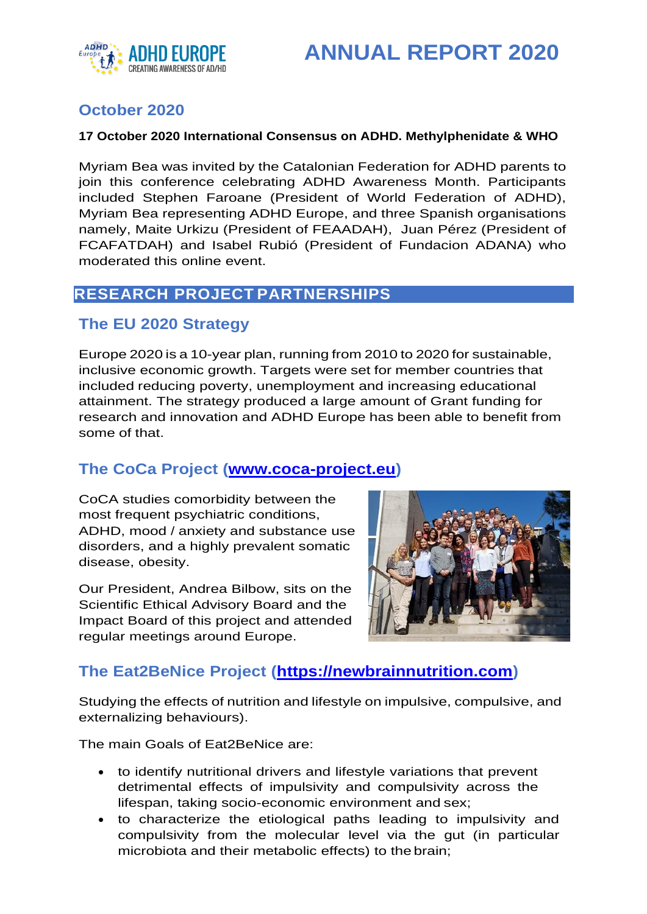

# **October 2020**

### **17 October 2020 International Consensus on ADHD. Methylphenidate & WHO**

Myriam Bea was invited by the Catalonian Federation for ADHD parents to join this conference celebrating ADHD Awareness Month. Participants included Stephen Faroane (President of World Federation of ADHD), Myriam Bea representing ADHD Europe, and three Spanish organisations namely, Maite Urkizu (President of FEAADAH), Juan Pérez (President of FCAFATDAH) and Isabel Rubió (President of Fundacion ADANA) who moderated this online event.

## **RESEARCH PROJECT PARTNERSHIPS**

### **The EU 2020 Strategy**

Europe 2020 is a 10-year plan, running from 2010 to 2020 for sustainable, inclusive economic growth. Targets were set for member countries that included reducing poverty, unemployment and increasing educational attainment. The strategy produced a large amount of Grant funding for research and innovation and ADHD Europe has been able to benefit from some of that.

## **The CoCa Project [\(www.coca-project.eu\)](http://www.coca-project.eu/)**

CoCA studies comorbidity between the most frequent psychiatric conditions, ADHD, mood / anxiety and substance use disorders, and a highly prevalent somatic disease, obesity.

Our President, Andrea Bilbow, sits on the Scientific Ethical Advisory Board and the Impact Board of this project and attended regular meetings around Europe.



## **The Eat2BeNice Project [\(https://newbrainnutrition.com\)](https://newbrainnutrition.com/)**

Studying the effects of nutrition and lifestyle on impulsive, compulsive, and externalizing behaviours).

The main Goals of Eat2BeNice are:

- to identify nutritional drivers and lifestyle variations that prevent detrimental effects of impulsivity and compulsivity across the lifespan, taking socio-economic environment and sex;
- to characterize the etiological paths leading to impulsivity and compulsivity from the molecular level via the gut (in particular microbiota and their metabolic effects) to the brain;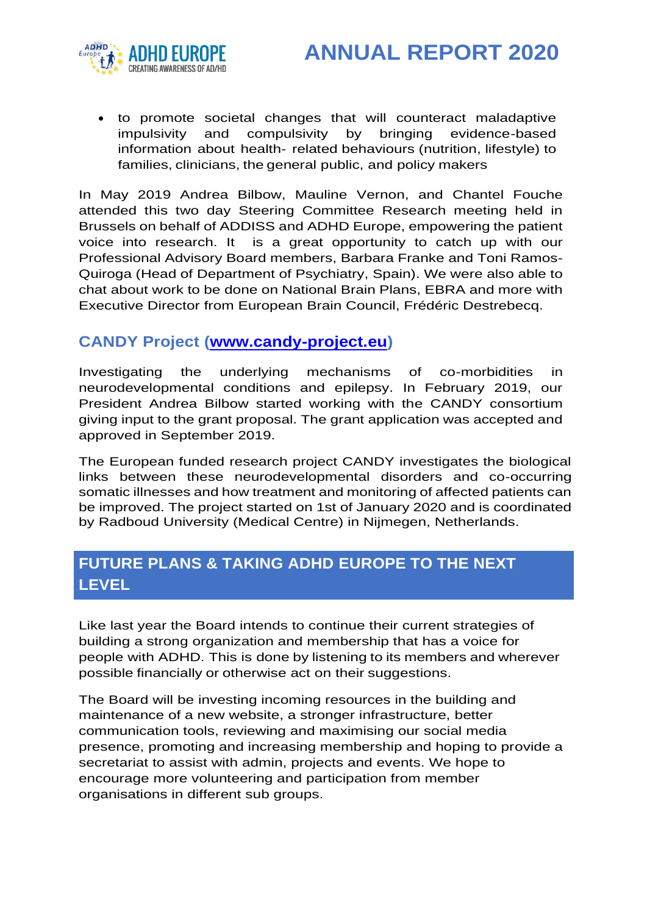



• to promote societal changes that will counteract maladaptive impulsivity and compulsivity by bringing evidence-based information about health- related behaviours (nutrition, lifestyle) to families, clinicians, the general public, and policy makers

In May 2019 Andrea Bilbow, Mauline Vernon, and Chantel Fouche attended this two day Steering Committee Research meeting held in Brussels on behalf of ADDISS and ADHD Europe, empowering the patient voice into research. It is a great opportunity to catch up with our Professional Advisory Board members, Barbara Franke and Toni Ramos-Quiroga (Head of Department of Psychiatry, Spain). We were also able to chat about work to be done on National Brain Plans, EBRA and more with Executive Director from European Brain Council, Frédéric Destrebecq.

### **CANDY Project [\(www.candy-project.eu\)](http://www.candy-project.eu/)**

Investigating the underlying mechanisms of co-morbidities in neurodevelopmental conditions and epilepsy. In February 2019, our President Andrea Bilbow started working with the CANDY consortium giving input to the grant proposal. The grant application was accepted and approved in September 2019.

The European funded research project CANDY investigates the biological links between these neurodevelopmental disorders and co-occurring somatic illnesses and how treatment and monitoring of affected patients can be improved. The project started on 1st of January 2020 and is coordinated by Radboud University (Medical Centre) in Nijmegen, Netherlands.

# **FUTURE PLANS & TAKING ADHD EUROPE TO THE NEXT LEVEL**

Like last year the Board intends to continue their current strategies of building a strong organization and membership that has a voice for people with ADHD. This is done by listening to its members and wherever possible financially or otherwise act on their suggestions.

The Board will be investing incoming resources in the building and maintenance of a new website, a stronger infrastructure, better communication tools, reviewing and maximising our social media presence, promoting and increasing membership and hoping to provide a secretariat to assist with admin, projects and events. We hope to encourage more volunteering and participation from member organisations in different sub groups.